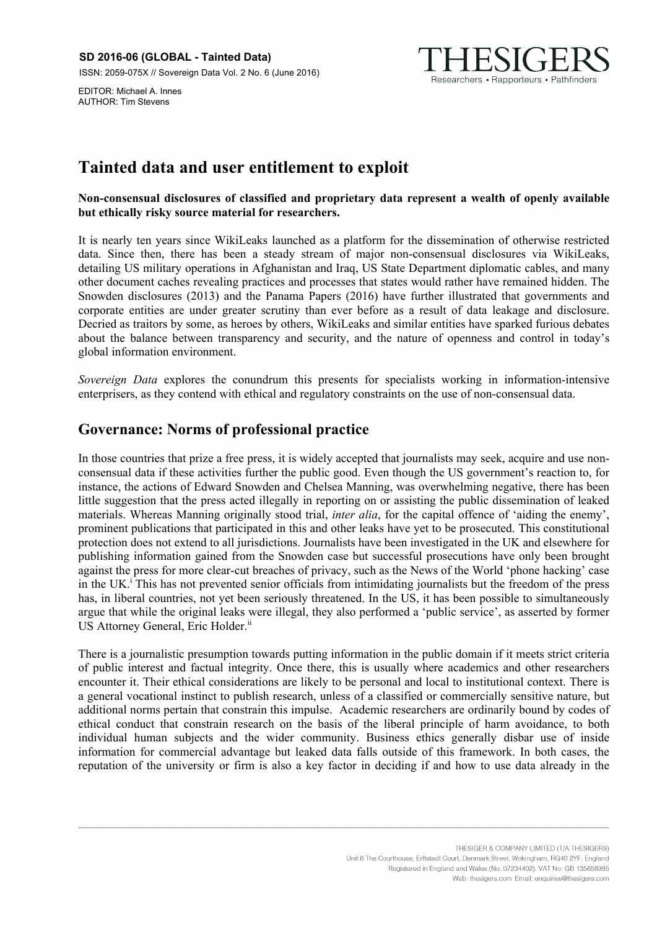EDITOR: Michael A. Innes AUTHOR: Tim Stevens



# **Tainted data and user entitlement to exploit**

**Non-consensual disclosures of classified and proprietary data represent a wealth of openly available but ethically risky source material for researchers.** 

It is nearly ten years since WikiLeaks launched as a platform for the dissemination of otherwise restricted data. Since then, there has been a steady stream of major non-consensual disclosures via WikiLeaks, detailing US military operations in Afghanistan and Iraq, US State Department diplomatic cables, and many other document caches revealing practices and processes that states would rather have remained hidden. The Snowden disclosures (2013) and the Panama Papers (2016) have further illustrated that governments and corporate entities are under greater scrutiny than ever before as a result of data leakage and disclosure. Decried as traitors by some, as heroes by others, WikiLeaks and similar entities have sparked furious debates about the balance between transparency and security, and the nature of openness and control in today's global information environment.

*Sovereign Data* explores the conundrum this presents for specialists working in information-intensive enterprisers, as they contend with ethical and regulatory constraints on the use of non-consensual data.

## **Governance: Norms of professional practice**

In those countries that prize a free press, it is widely accepted that journalists may seek, acquire and use nonconsensual data if these activities further the public good. Even though the US government's reaction to, for instance, the actions of Edward Snowden and Chelsea Manning, was overwhelming negative, there has been little suggestion that the press acted illegally in reporting on or assisting the public dissemination of leaked materials. Whereas Manning originally stood trial, *inter alia*, for the capital offence of 'aiding the enemy', prominent publications that participated in this and other leaks have yet to be prosecuted. This constitutional protection does not extend to all jurisdictions. Journalists have been investigated in the UK and elsewhere for publishing information gained from the Snowden case but successful prosecutions have only been brought against the press for more clear-cut breaches of privacy, such as the News of the World 'phone hacking' case in the UK.<sup>i</sup> This has not prevented senior officials from intimidating journalists but the freedom of the press has, in liberal countries, not yet been seriously threatened. In the US, it has been possible to simultaneously argue that while the original leaks were illegal, they also performed a 'public service', as asserted by former US Attorney General, Eric Holder.<sup>ii</sup>

There is a journalistic presumption towards putting information in the public domain if it meets strict criteria of public interest and factual integrity. Once there, this is usually where academics and other researchers encounter it. Their ethical considerations are likely to be personal and local to institutional context. There is a general vocational instinct to publish research, unless of a classified or commercially sensitive nature, but additional norms pertain that constrain this impulse. Academic researchers are ordinarily bound by codes of ethical conduct that constrain research on the basis of the liberal principle of harm avoidance, to both individual human subjects and the wider community. Business ethics generally disbar use of inside information for commercial advantage but leaked data falls outside of this framework. In both cases, the reputation of the university or firm is also a key factor in deciding if and how to use data already in the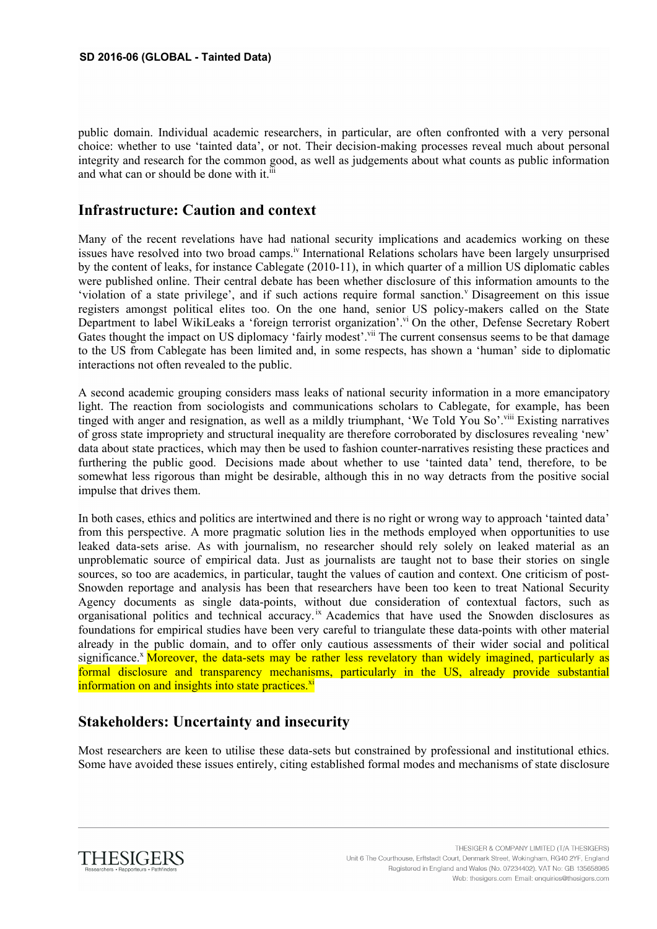public domain. Individual academic researchers, in particular, are often confronted with a very personal choice: whether to use 'tainted data', or not. Their decision-making processes reveal much about personal integrity and research for the common good, as well as judgements about what counts as public information and what can or should be done with it.<sup>iii</sup>

#### **Infrastructure: Caution and context**

Many of the recent revelations have had national security implications and academics working on these issues have resolved into two broad camps.<sup>iv</sup> International Relations scholars have been largely unsurprised by the content of leaks, for instance Cablegate (2010-11), in which quarter of a million US diplomatic cables were published online. Their central debate has been whether disclosure of this information amounts to the 'violation of a state privilege', and if such actions require formal sanction.<sup>V</sup> Disagreement on this issue registers amongst political elites too. On the one hand, senior US policy-makers called on the State Department to label WikiLeaks a 'foreign terrorist organization'.<sup>vi</sup> On the other, Defense Secretary Robert Gates thought the impact on US diplomacy 'fairly modest'.<sup>vii</sup> The current consensus seems to be that damage to the US from Cablegate has been limited and, in some respects, has shown a 'human' side to diplomatic interactions not often revealed to the public.

A second academic grouping considers mass leaks of national security information in a more emancipatory light. The reaction from sociologists and communications scholars to Cablegate, for example, has been tinged with anger and resignation, as well as a mildly triumphant, 'We Told You So'.viii Existing narratives of gross state impropriety and structural inequality are therefore corroborated by disclosures revealing 'new' data about state practices, which may then be used to fashion counter-narratives resisting these practices and furthering the public good. Decisions made about whether to use 'tainted data' tend, therefore, to be somewhat less rigorous than might be desirable, although this in no way detracts from the positive social impulse that drives them.

In both cases, ethics and politics are intertwined and there is no right or wrong way to approach 'tainted data' from this perspective. A more pragmatic solution lies in the methods employed when opportunities to use leaked data-sets arise. As with journalism, no researcher should rely solely on leaked material as an unproblematic source of empirical data. Just as journalists are taught not to base their stories on single sources, so too are academics, in particular, taught the values of caution and context. One criticism of post-Snowden reportage and analysis has been that researchers have been too keen to treat National Security Agency documents as single data-points, without due consideration of contextual factors, such as organisational politics and technical accuracy.<sup>ix</sup> Academics that have used the Snowden disclosures as foundations for empirical studies have been very careful to triangulate these data-points with other material already in the public domain, and to offer only cautious assessments of their wider social and political significance.<sup>x</sup> Moreover, the data-sets may be rather less revelatory than widely imagined, particularly as formal disclosure and transparency mechanisms, particularly in the US, already provide substantial information on and insights into state practices.<sup>xi</sup>

## **Stakeholders: Uncertainty and insecurity**

Most researchers are keen to utilise these data-sets but constrained by professional and institutional ethics. Some have avoided these issues entirely, citing established formal modes and mechanisms of state disclosure

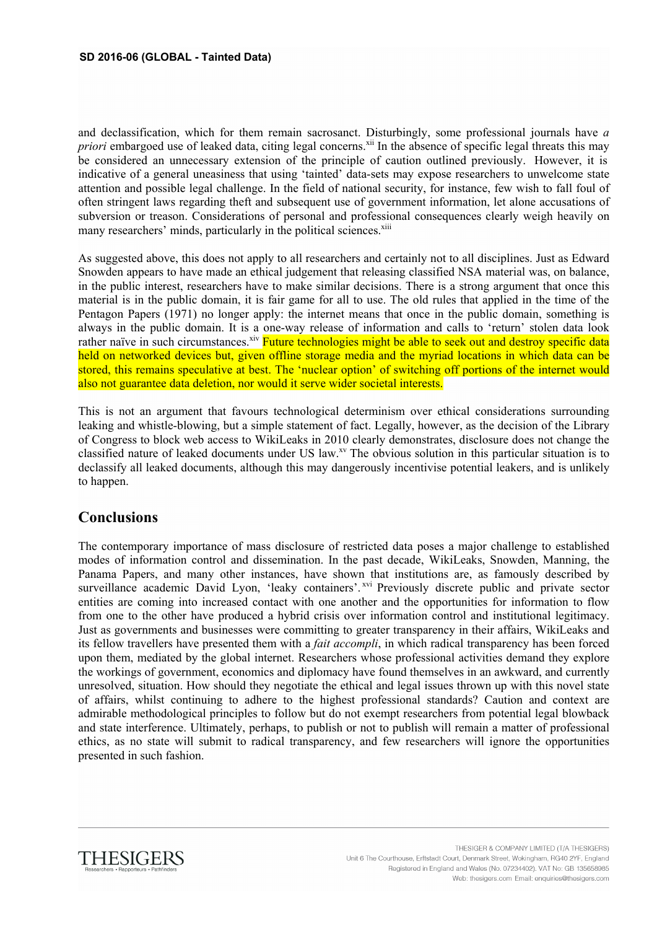and declassification, which for them remain sacrosanct. Disturbingly, some professional journals have *a priori* embargoed use of leaked data, citing legal concerns.<sup>xii</sup> In the absence of specific legal threats this may be considered an unnecessary extension of the principle of caution outlined previously. However, it is indicative of a general uneasiness that using 'tainted' data-sets may expose researchers to unwelcome state attention and possible legal challenge. In the field of national security, for instance, few wish to fall foul of often stringent laws regarding theft and subsequent use of government information, let alone accusations of subversion or treason. Considerations of personal and professional consequences clearly weigh heavily on many researchers' minds, particularly in the political sciences.<sup>xiii</sup>

As suggested above, this does not apply to all researchers and certainly not to all disciplines. Just as Edward Snowden appears to have made an ethical judgement that releasing classified NSA material was, on balance, in the public interest, researchers have to make similar decisions. There is a strong argument that once this material is in the public domain, it is fair game for all to use. The old rules that applied in the time of the Pentagon Papers (1971) no longer apply: the internet means that once in the public domain, something is always in the public domain. It is a one-way release of information and calls to 'return' stolen data look rather naïve in such circumstances.<sup>xiv</sup> Future technologies might be able to seek out and destroy specific data held on networked devices but, given offline storage media and the myriad locations in which data can be stored, this remains speculative at best. The 'nuclear option' of switching off portions of the internet would also not guarantee data deletion, nor would it serve wider societal interests.

This is not an argument that favours technological determinism over ethical considerations surrounding leaking and whistle-blowing, but a simple statement of fact. Legally, however, as the decision of the Library of Congress to block web access to WikiLeaks in 2010 clearly demonstrates, disclosure does not change the classified nature of leaked documents under US law.<sup>xv</sup> The obvious solution in this particular situation is to declassify all leaked documents, although this may dangerously incentivise potential leakers, and is unlikely to happen.

## **Conclusions**

The contemporary importance of mass disclosure of restricted data poses a major challenge to established modes of information control and dissemination. In the past decade, WikiLeaks, Snowden, Manning, the Panama Papers, and many other instances, have shown that institutions are, as famously described by surveillance academic David Lyon, 'leaky containers'. Xvi Previously discrete public and private sector entities are coming into increased contact with one another and the opportunities for information to flow from one to the other have produced a hybrid crisis over information control and institutional legitimacy. Just as governments and businesses were committing to greater transparency in their affairs, WikiLeaks and its fellow travellers have presented them with a *fait accompli*, in which radical transparency has been forced upon them, mediated by the global internet. Researchers whose professional activities demand they explore the workings of government, economics and diplomacy have found themselves in an awkward, and currently unresolved, situation. How should they negotiate the ethical and legal issues thrown up with this novel state of affairs, whilst continuing to adhere to the highest professional standards? Caution and context are admirable methodological principles to follow but do not exempt researchers from potential legal blowback and state interference. Ultimately, perhaps, to publish or not to publish will remain a matter of professional ethics, as no state will submit to radical transparency, and few researchers will ignore the opportunities presented in such fashion.